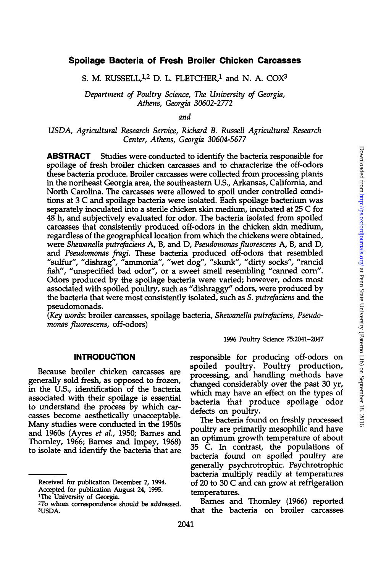### **Spoilage Bacteria of Fresh Broiler Chicken Carcasses**

S. M. RUSSELL, $1,2$  D. L. FLETCHER, $1$  and N. A. COX $3$ 

*Department of Poultry Science, The University of Georgia, Athens, Georgia 30602-2772* 

*and* 

## *USDA, Agricultural Research Service, Richard B. Russell Agricultural Research Center, Athens, Georgia 30604-5677*

**ABSTRACT** Studies were conducted to identify the bacteria responsible for spoilage of fresh broiler chicken carcasses and to characterize the off-odors these bacteria produce. Broiler carcasses were collected from processing plants in the northeast Georgia area, the southeastern U.S., Arkansas, California, and North Carolina. The carcasses were allowed to spoil under controlled conditions at 3 C and spoilage bacteria were isolated. Each spoilage bacterium was separately inoculated into a sterile chicken skin medium, incubated at 25 C for 48 h, and subjectively evaluated for odor. The bacteria isolated from spoiled carcasses that consistently produced off-odors in the chicken skin medium, regardless of the geographical location from which the chickens were obtained, were *Shewanella putrefaciens A,* B, and D, *Pseudomonas fluorescens A,* B, and D, and *Pseudomonas fragi.* These bacteria produced off-odors that resembled "sulfur", "dishrag", "ammonia", "wet dog", "skunk", "dirty socks", "rancid fish", "unspecified bad odor", or a sweet smell resembling "canned corn". Odors produced by the spoilage bacteria were varied; however, odors most associated with spoiled poultry, such as "dishraggy" odors, were produced by the bacteria that were most consistendy isolated, such as *S. putrefaciens* and the pseudomonads.

*(Key words:* broiler carcasses, spoilage bacteria, *Shewanella putrefaciens, Pseudomonas fluorescens,* off-odors)

1996 Poultry Science 75:2041-2047

#### **INTRODUCTION**

Because broiler chicken carcasses are generally sold fresh, as opposed to frozen, in the U.S., identification of the bacteria associated with their spoilage is essential to understand the process by which carcasses become aesthetically unacceptable. Many studies were conducted in the 1950s and 1960s (Ayres *et al.,* 1950; Barnes and Thornley, 1966; Barnes and Impey, 1968) to isolate and identify the bacteria that are

<sup>1</sup>The University of Georgia.

responsible for producing off-odors on spoiled poultry. Poultry production, processing, and handling methods have changed considerably over the past 30 yr, which may have an effect on the types of bacteria that produce spoilage odor defects on poultry.

The bacteria found on freshly processed poultry are primarily mesophilic and have an optimum growth temperature of about 35 C. In contrast, the populations of bacteria found on spoiled poultry are generally psychrotrophic. Psychrotrophic bacteria multiply readily at temperatures of 20 to 30 C and can grow at refrigeration temperatures.

Barnes and Thornley (1966) reported that the bacteria on broiler carcasses

Received for publication December 2, 1994. Accepted for publication August 24, 1995.

<sup>2</sup>To whom correspondence should be addressed. 3USDA.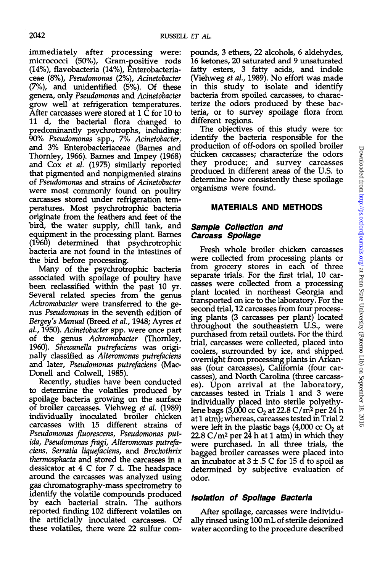immediately after processing were: micrococci (50%), Gram-positive rods (14%), flavobacteria (14%), Enterobacteriaceae (8%), *Pseudomonas* (2%), *Acinetobacter*  (7%), and unidentified (5%). Of these genera, only *Pseudomonas* and *Acinetobacter*  grow well at refrigeration temperatures. After carcasses were stored at 1 C for 10 to 11 d, the bacterial flora changed to predominantly psychrotrophs, including: 90% *Pseudomonas* spp., 7% *Acinetobacter,*  and 3% Enterobacteriaceae (Barnes and Thornley, 1966). Barnes and Impey (1968) and Cox *et al.* (1975) similarly reported that pigmented and nonpigmented strains of *Pseudomonas* and strains of *Acinetobacter*  were most commonly found on poultry carcasses stored under refrigeration temperatures. Most psychrotrophic bacteria originate from the feathers and feet of the bird, the water supply, chill tank, and equipment in the processing plant. Barnes (1960) determined that psychrotrophic bacteria are not found in the intestines of the bird before processing.

Many of the psychrotrophic bacteria associated with spoilage of poultry have been reclassified within the past 10 yr. Several related species from the genus *Achromobacter* were transferred to the genus *Pseudomonas* in the seventh edition of *Bergey's Manual* (Breed *et al,* 1948; Ayres *et ah,* 1950). *Acinetobacter* spp. were once part of the genus *Achromobacter* (Thornley, 1960). *Shewanella putrefaciens* was originally classified as *Alteromonas putrefaciens*  and later, *Pseudomonas putrefaciens* (Mac-Donell and Colwell, 1985).

Recently, studies have been conducted to determine the volatiles produced by spoilage bacteria growing on the surface of broiler carcasses. Viehweg *et al.* (1989) individually inoculated broiler chicken carcasses with 15 different strains of *Pseudomonas fluorescens, Pseudomonas putida, Pseudomonas fragi, Alteromonas putrefaciens, Serratia liauefaciens,* and *Brochothrix thermosphacta* and stored the carcasses in a dessicator at 4 C for 7 d. The headspace around the carcasses was analyzed using gas chromatography-mass spectrometry to identify the volatile compounds produced by each bacterial strain. The authors reported finding 102 different volatiles on the artificially inoculated carcasses. Of these volatiles, there were 22 sulfur com-

pounds, 3 ethers, 22 alcohols, 6 aldehydes, 16 ketones, 20 saturated and 9 unsaturated fatty esters, 3 fatty acids, and indole (Viehweg *et al,* 1989). No effort was made in this study to isolate and identify bacteria from spoiled carcasses, to characterize the odors produced by these bacteria, or to survey spoilage flora from different regions.

The objectives of this study were to: identify the bacteria responsible for the production of off-odors on spoiled broiler chicken carcasses; characterize the odors they produce; and survey carcasses produced in different areas of the U.S. to determine how consistently these spoilage organisms were found.

# **MATERIALS AND METHODS**

# **Sample Collection and Carcass Spoilage**

Fresh whole broiler chicken carcasses were collected from processing plants or from grocery stores in each of three separate trials. For the first trial, 10 carcasses were collected from a processing plant located in northeast Georgia and transported on ice to the laboratory. For the second trial, 12 carcasses from four processing plants (3 carcasses per plant) located throughout the southeastern U.S., were purchased from retail outlets. For the third trial, carcasses were collected, placed into coolers, surrounded by ice, and shipped overnight from processing plants in Arkansas (four carcasses), California (four carcasses), and North Carolina (three carcasses). Upon arrival at the laboratory, carcasses tested in Trials 1 and 3 were individually placed into sterile polyethylene bags  $(3,000 \text{ cc } O<sub>2</sub>$  at 22.8 C/m<sup>2</sup> per 24 h at 1 atm); whereas, carcasses tested in Trial 2 were left in the plastic bags  $(4,000 \text{ cc } O<sub>2</sub>)$  at  $22.8 \text{ C/m}^2$  per  $24$  h at 1 atm) in which they were purchased. In all three trials, the bagged broiler carcasses were placed into an incubator at  $3 \pm .5$  C for 15 d to spoil as determined by subjective evaluation of odor.

# **Isolation of Spoilage Bacteria**

After spoilage, carcasses were individually rinsed using 100 mL of sterile deionized water according to the procedure described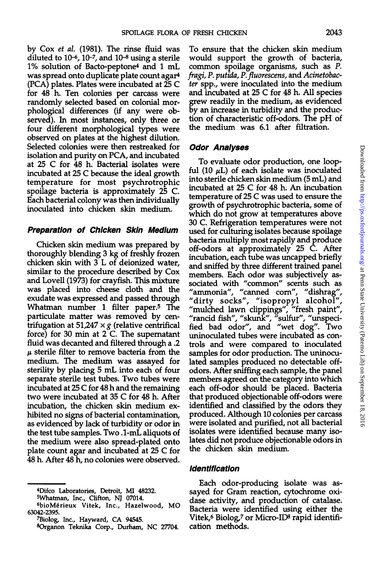by Cox *et al.* (1981). The rinse fluid was diluted to  $10$ <sup>-6</sup>,  $10$ <sup>-7</sup>, and  $10$ <sup>-8</sup> using a sterile 1% solution of Bacto-peptone<sup>4</sup> and 1 mL was spread onto duplicate plate count agar<sup>4</sup> (PCA) plates. Plates were incubated at 25 C for 48 h. Ten colonies per carcass were randomly selected based on colonial morphological differences (if any were observed). In most instances, only three or four different morphological types were observed on plates at the highest dilution. Selected colonies were then restreaked for isolation and purity on PCA, and incubated at 25 C for 48 h. Bacterial isolates were incubated at 25 C because the ideal growth temperature for most psychrotrophic spoilage bacteria is approximately 25 C. Each bacterial colony was then individually inoculated into chicken skin medium.

#### **Preparation of Chicken Skin Medium**

Chicken skin medium was prepared by thoroughly blending 3 kg of freshly frozen chicken skin with 3 L of deionized water, similar to the procedure described by Cox and Lovell (1973) for crayfish. This mixture was placed into cheese cloth and the exudate was expressed and passed through Whatman number 1 filter paper.<sup>5</sup> The particulate matter was removed by centrifugation at  $51,247 \times g$  (relative centrifical force) for 30 min at 2 C. The supernatant fluid was decanted and filtered through a .2 *u* sterile filter to remove bacteria from the medium. The medium was assayed for sterility by placing 5 mL into each of four separate sterile test tubes. Two tubes were incubated at 25 C for 48 h and the remaining two were incubated at 35 C for 48 h. After incubation, the chicken skin medium exhibited no signs of bacterial contamination, as evidenced by lack of turbidity or odor in the test tube samples. Two .1-mL aliquots of the medium were also spread-plated onto plate count agar and incubated at 25 C for 48 h. After 48 h, no colonies were observed.

To ensure that the chicken skin medium would support the growth of bacteria, common spoilage organisms, such as *P. fragi, P. putida, P.fluorescens,* and *Acinetobacter* spp., were inoculated into the medium and incubated at 25 C for 48 h. All species grew readily in the medium, as evidenced by an increase in turbidity and the production of characteristic off-odors. The pH of the medium was 6.1 after filtration.

#### **Odor Analyses**

To evaluate odor production, one loopful (10  $\mu$ L) of each isolate was inoculated into sterile chicken skin medium (5 mL) and incubated at 25 C for 48 h. An incubation temperature of 25 C was used to ensure the growth of psychrotrophic bacteria, some of which do not grow at temperatures above 30 C. Refrigeration temperatures were not used for culturing isolates because spoilage bacteria multiply most rapidly and produce off-odors at approximately 25 C. After incubation, each tube was uncapped briefly and sniffed by three different trained panel members. Each odor was subjectively associated with "common" scents such as "ammonia", "canned corn", "dishrag", "dirty socks", "isopropyl alcohol", "mulched lawn clippings", "fresh paint", "rancid fish", "skunk", "sulfur", "unspecified bad odor", and "wet dog". Two uninoculated tubes were incubated as controls and were compared to inoculated samples for odor production. The uninoculated samples produced no detectable offodors. After sniffing each sample, the panel members agreed on the category into which each off-odor should be placed. Bacteria that produced objectionable off-odors were identified and classified by the odors they produced. Although 10 colonies per carcass were isolated and purified, not all bacterial isolates were identified because many isolates did not produce objectionable odors in the chicken skin medium.

#### **Identification**

Each odor-producing isolate was assayed for Gram reaction, cytochrome oxidase activity, and production of catalase. Bacteria were identified using either the Vitek,<sup>6</sup> Biolog,<sup>7</sup> or Micro-ID<sup>8</sup> rapid identification methods.

<sup>4</sup>Difco Laboratories, Detroit, MI 48232.

<sup>5</sup>Whatman, Inc., Clifton, NJ 07014.

<sup>6</sup> bioMerieux Vitek, Inc., Hazelwood, MO 63042-2395.

<sup>7</sup>Biolog, Inc., Hayward, CA 94545.

<sup>8</sup>Organon Teknika Corp., Durham, NC 27704.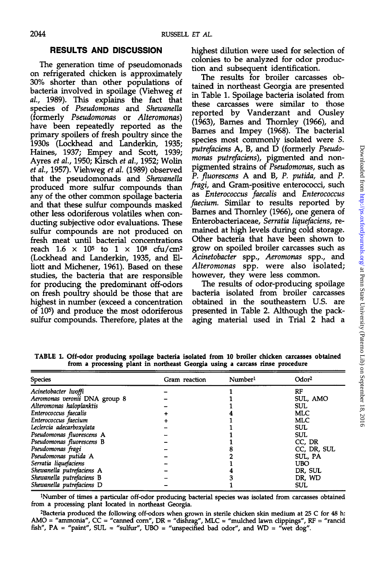# **RESULTS AND DISCUSSION**

The generation time of pseudomonads on refrigerated chicken is approximately 30% shorter than other populations of bacteria involved in spoilage (Viehweg *et al,* 1989). This explains the fact that species of *Pseudomonas* and *Shewanella*  (formerly *Pseudomonas* or *Alteromonas)*  have been repeatedly reported as the primary spoilers of fresh poultry since the 1930s (Lockhead and Landerkin, 1935; Haines, 1937; Empey and Scott, 1939; Ayres *et al,* 1950; Kirsch *et al,* 1952; Wolin *et al,* 1957). Viehweg *et al* (1989) observed that the pseudomonads and *Shewanella*  produced more sulfur compounds than any of the other common spoilage bacteria and that these sulfur compounds masked other less odoriferous volatiles when conducting subjective odor evaluations. These sulfur compounds are not produced on fresh meat until bacterial concentrations reach  $1.6 \times 10^5$  to  $1 \times 10^8$  cfu/cm<sup>2</sup> (Lockhead and Landerkin, 1935, and Elliott and Michener, 1961). Based on these studies, the bacteria that are responsible for producing the predominant off-odors on fresh poultry should be those that are highest in number (exceed a concentration of 10<sup>5</sup> ) and produce the most odoriferous sulfur compounds. Therefore, plates at the

highest dilution were used for selection of colonies to be analyzed for odor production and subsequent identification.

The results for broiler carcasses obtained in northeast Georgia are presented in Table 1. Spoilage bacteria isolated from these carcasses were similar to those reported by Vanderzant and Ousley (1963), Barnes and Thomley (1966), and Barnes and Impey (1968). The bacterial species most commonly isolated were *S. putrefaciens A,* B, and D (formerly *Pseudomonas putrefaciens),* pigmented and nonpigmented strains of *Pseudomonas,* such as *P. fluorescens A* and B, *P. putida,* and *P. fragi,* and Gram-positive enterococci, such putrefaciens A, B, and D (formerly *Pseudo-monas putrefaciens*), pigmented and non-<br>pigmented strains of *Pseudonomas*, such as<br>*P. fluorescens* A and B, *P. putida*, and *P.*<br>fragi, and Gram-positive enterococcis face-<br>as *faecium.* Similar to results reported by Barnes and Thomley (1966), one genera of Enterobacteriaceae, *Serratia liquefaciens,* remained at high levels during cold storage. Other bacteria that have been shown to grow on spoiled broiler carcasses such as *Acinetobacter* spp., *Aeromonas* spp., and *Alteromonas* spp. were also isolated; however, they were less common.

The results of odor-producing spoilage bacteria isolated from broiler carcasses obtained in the southeastern U.S. are presented in Table 2. Although the packaging material used in Trial 2 had a

| Species                       | Gram reaction | Number <sup>1</sup> | Odor <sup>2</sup> |
|-------------------------------|---------------|---------------------|-------------------|
| Acinetobacter lwoffi          |               |                     | RF                |
| Aeromonas veronii DNA group 8 |               |                     | SUL, AMO          |
| Alteromonas haloplanktis      |               |                     | SUL.              |
| Enterococcus faecalis         |               |                     | MLC               |
| Enterococcus faecium          |               |                     | <b>MLC</b>        |
| Leclercia adecarboxylata      |               |                     | <b>SUL</b>        |
| Pseudomonas fluorescens A     |               |                     | <b>SUL</b>        |
| Pseudomonas fluorescens B     |               |                     | CC, DR            |
| Pseudomonas fragi             |               |                     | CC, DR, SUL       |
| Pseudomonas putida A          |               |                     | SUL, PA           |
| Serratia liquefaciens         |               |                     | <b>UBO</b>        |
| Shewanella putrefaciens A     |               |                     | DR, SUL           |
| Shewanella putrefaciens B     |               |                     | DR, WD            |
| Shewanella putrefaciens D     |               |                     | <b>SUL</b>        |

**TABLE 1. Off-odoi producing spoilage bacteria isolated from 10 broiler chicken carcasses obtained from a processing plant in northeast Georgia using a carcass rinse procedure** 

<sup>1</sup>Number of times a particular off-odor producing bacterial species was isolated from carcasses obtained from a processing plant located in northeast Georgia.

<sup>2</sup>Bacteria produced the following off-odors when grown in sterile chicken skin medium at 25 C for 48 h: AMO = "ammonia", CC = "canned corn", DR = "dishrag", MLC = "mulched lawn clippings", RF = "rancid fish",  $PA =$  "paint",  $SUL =$  "sulfur",  $UBO =$  "unspecified bad odor", and  $WD =$  "wet dog".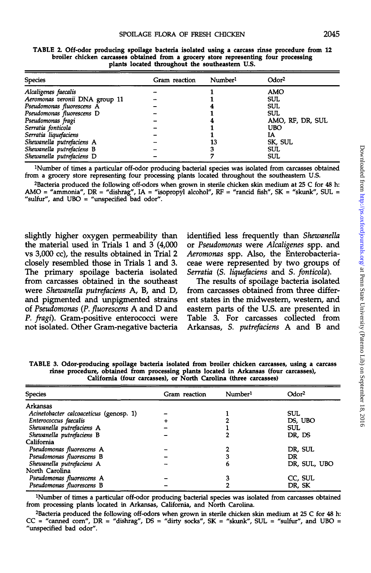| <b>Species</b>                 | Gram reaction | Number <sup>1</sup> | Odor <sup>2</sup> |
|--------------------------------|---------------|---------------------|-------------------|
| Alcaligenes faecalis           |               |                     | AMO               |
| Aeromonas veronii DNA group 11 |               |                     | SUL               |
| Pseudomonas fluorescens A      |               |                     | SUL               |
| Pseudomonas fluorescens D      |               |                     | <b>SUL</b>        |
| Pseudomonas fragi              |               |                     | AMO, RF, DR, SUL  |
| Serratia fonticola             |               |                     | UBO               |
| Serratia liquefaciens          |               |                     | IA                |
| Shewanella putrefaciens A      |               | 13                  | SK, SUL           |
| Shewanella putrefaciens B      |               |                     | SUL               |
| Shewanella putrefaciens D      |               |                     | SUL               |

**TABLE Z Off-odor producing spoilage bacteria isolated using a carcass rinse procedure from 12 broiler chicken carcasses obtained from a grocery store representing four processing plants located throughout the southeastern U.S.** 

<sup>1</sup>Number of times a particular off-odor producing bacterial species was isolated from carcasses obtained from a grocery store representing four processing plants located throughout the southeastern U.S.

<sup>2</sup>Bacteria produced the following off-odors when grown in sterile chicken skin medium at 25 C for 48 h: AMO = "ammonia",  $DR =$  "dishrag",  $IA =$  "isopropyl alcohol",  $RF =$  "rancid fish",  $SK =$  "skunk",  $SUL =$ "sulfur", and UBO = "unspecified bad odor".

slightly higher oxygen permeability than the material used in Trials 1 and 3 (4,000 vs 3,000 cc), the results obtained in Trial 2 closely resembled those in Trials 1 and 3. The primary spoilage bacteria isolated from carcasses obtained in the southeast were *Shewanella putrefaciens* A, B, and D, and pigmented and unpigmented strains of *Pseudomonas* (P. *fluorescens A* and D and *P. fragi).* Gram-positive enterococci were not isolated. Other Gram-negative bacteria identified less frequently than *Shewanella*  or *Pseudomonas* were *Alcaligenes* spp. and *Aeromonas* spp. Also, the Enterobacteriaceae were represented by two groups of *Serratia* (S. *liquefaciens* and *S. fonticola).* 

The results of spoilage bacteria isolated from carcasses obtained from three different states in the midwestern, western, and eastern parts of the U.S. are presented in Table 3. For carcasses collected from Arkansas, *S. putrefaciens* A and B and

**TABLE 3. Odor-producing spoilage bacteria isolated from broiler chicken carcasses, using a carcass rinse procedure, obtained from processing plants located in Arkansas (four carcasses), California (four carcasses), or North Carolina (three carcasses)** 

| <b>Species</b>                          | Gram reaction | Number <sup>1</sup> | Odor <sup>2</sup> |
|-----------------------------------------|---------------|---------------------|-------------------|
|                                         |               |                     |                   |
| Arkansas                                |               |                     |                   |
| Acinetobacter calcoaceticus (genosp. 1) |               |                     | <b>SUL</b>        |
| Enterococcus faecalis                   |               |                     | DS, UBO           |
| Shewanella putrefaciens A               |               |                     | <b>SUL</b>        |
| Shewanella putrefaciens B               |               |                     | DR, DS            |
| California                              |               |                     |                   |
| Pseudomonas fluorescens A               |               |                     | DR, SUL           |
| Pseudomonas fluorescens B               |               |                     | DR                |
| Shewanella putrefaciens A               |               | 6                   | DR, SUL, UBO      |
| North Carolina                          |               |                     |                   |
| Pseudomonas fluorescens A               |               |                     | CC, SUL           |
| Pseudomonas fluorescens B               |               |                     | DR, SK            |

<sup>1</sup>Number of times a particular off-odor producing bacterial species was isolated from carcasses obtained from processing plants located in Arkansas, California, and North Carolina.

<sup>2</sup>Bacteria produced the following off-odors when grown in sterile chicken skin medium at 25 C for 48 h:  $CC$  = "canned corn",  $DR$  = "dishrag",  $DS$  = "dirty socks",  $SK$  = "skunk",  $SUL$  = "sulfur", and UBO = "unspecified bad odor".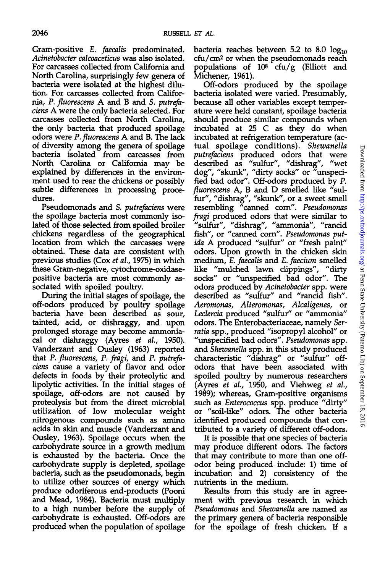Gram-positive *E. faecalis* predominated. *Acinetobacter calcoaceticus* was also isolated. For carcasses collected from California and North Carolina, surprisingly few genera of bacteria were isolated at the highest dilution. For carcasses collected from California, *P. fluorescens A* and B and *S. putrefaciens A* were the only bacteria selected. For carcasses collected from North Carolina, the only bacteria that produced spoilage odors were *P. fluorescens A* and B. The lack of diversity among the genera of spoilage bacteria isolated from carcasses from North Carolina or California may be explained by differences in the environment used to rear the chickens or possibly subtle differences in processing procedures.

Pseudomonads and *S. putrefaciens* were the spoilage bacteria most commonly isolated of those selected from spoiled broiler chickens regardless of the geographical location from which the carcasses were obtained. These data are consistent with previous studies (Cox *et al,* 1975) in which these Gram-negative, cytochrome-oxidasepositive bacteria are most commonly associated with spoiled poultry.

During the initial stages of spoilage, the off-odors produced by poultry spoilage bacteria have been described as sour, tainted, acid, or dishraggy, and upon prolonged storage may become ammoniacal or dishraggy (Ayres *et al,* 1950). Vanderzant and Ousley (1963) reported that *P. fluorescens, P. fragi,* and *P. putrefaciens* cause a variety of flavor and odor defects in foods by their proteolytic and lipolytic activities. In the initial stages of spoilage, off-odors are not caused by proteolysis but from the direct microbial utilization of low molecular weight nitrogenous compounds such as amino acids in skin and muscle (Vanderzant and Ousley, 1963). Spoilage occurs when the carbohydrate source in a growth medium is exhausted by the bacteria. Once the carbohydrate supply is depleted, spoilage bacteria, such as the pseudomonads, begin to utilize other sources of energy which produce odoriferous end-products (Pooni produce odornerous end-products (Foom and mead, 1904). Dacteria must mumply<br>to a high number before the supply of to a high number before the supply of carbohydrate is exhausted. Off-odors are<br>produced when the population of spoilage

bacteria reaches between 5.2 to 8.0  $log_{10}$ cfu/cm<sup>2</sup> or when the pseudomonads reach populations of  $10^8$  cfu/g (Elliott and Michener, 1961).

Off-odors produced by the spoilage bacteria isolated were varied. Presumably, because all other variables except temperature were held constant, spoilage bacteria should produce similar compounds when incubated at 25 C as they do when incubated at refrigeration temperature (actual spoilage conditions). *Shewanella putrefaciens* produced odors that were described as "sulfur", "dishrag", "wet dog", "skunk", "dirty socks" or "unspecified bad odor". Off-odors produced by *P. fluorescens* A, B and D smelled like "sulfur", "dishrag", "skunk", or a sweet smell resembling "canned corn". *Pseudomonas fragi* produced odors that were similar to "sulfur", "dishrag", "ammonia", "rancid fish", or "canned corn". *Pseudomonas putida A* produced "sulfur" or "fresh paint" odors. Upon growth in the chicken skin medium, E. *faecalis* and *E. faecium* smelled like "mulched lawn clippings", "dirty socks" or "unspecified bad odor". The odors produced by *Acinetobacter* spp. were described as "sulfur" and "rancid fish". *Aeromonas, Alteromonas, Alcaligenes,* or *Leclercia* produced "sulfur" or "ammonia" odors. The Enterobacteriaceae, namely *Serratia* spp., produced "isopropyl alcohol" or "unspecified bad odors". *Pseudomonas* spp. and *Shewanella* spp. in this study produced characteristic "dishrag" or "sulfur" offodors that have been associated with odors that have been associated with spoiled poultry by numerous researchers (Ayres *et al.*, 1950, and Viehweg *et al.*, 1989); whereas, Gram-positive organisms such as Enterococcus spp. produce "dirty" or "soil-like" odors. The other bacteria identified produced compounds that contributed to a variety of different off-odors.

It is possible that one species of bacteria may produce different odors. The factors that may contribute to more than one offodor being produced include: 1) time of incubation and 2) consistency of the nutrients in the medium.

Results from this study are in agreement with previous research in which *Pseudomonas* and *Shewanella* are named as the primary genera of bacteria responsible for the spoilage of fresh chicken. If a